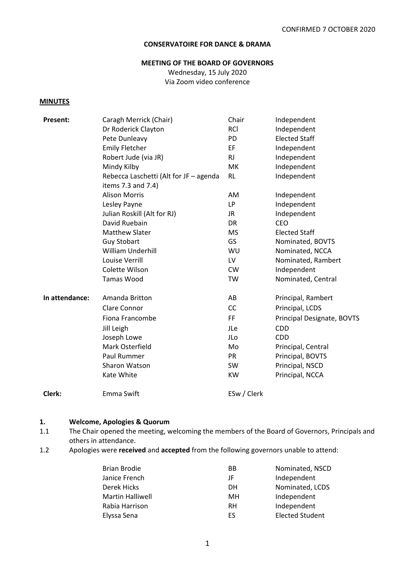# **CONSERVATOIRE FOR DANCE & DRAMA**

#### **MEETING OF THE BOARD OF GOVERNORS**

Wednesday, 15 July 2020 Via Zoom video conference

#### **MINUTES**

| Present:       | Caragh Merrick (Chair)                                       | Chair       | Independent                |
|----------------|--------------------------------------------------------------|-------------|----------------------------|
|                | Dr Roderick Clayton                                          | <b>RCI</b>  | Independent                |
|                | Pete Dunleavy                                                | PD          | <b>Elected Staff</b>       |
|                | <b>Emily Fletcher</b>                                        | EF          | Independent                |
|                | Robert Jude (via JR)                                         | <b>RJ</b>   | Independent                |
|                | Mindy Kilby                                                  | МK          | Independent                |
|                | Rebecca Laschetti (Alt for JF - agenda<br>items 7.3 and 7.4) | <b>RL</b>   | Independent                |
|                | <b>Alison Morris</b>                                         | AM          | Independent                |
|                | Lesley Payne                                                 | LP          | Independent                |
|                | Julian Roskill (Alt for RJ)                                  | JR.         | Independent                |
|                | David Ruebain                                                | DR          | <b>CEO</b>                 |
|                | <b>Matthew Slater</b>                                        | <b>MS</b>   | <b>Elected Staff</b>       |
|                | <b>Guy Stobart</b>                                           | GS          | Nominated, BOVTS           |
|                | William Underhill                                            | WU          | Nominated, NCCA            |
|                | Louise Verrill                                               | LV.         | Nominated, Rambert         |
|                | Colette Wilson                                               | <b>CW</b>   | Independent                |
|                | Tamas Wood                                                   | TW          | Nominated, Central         |
| In attendance: | Amanda Britton                                               | AB          | Principal, Rambert         |
|                | Clare Connor                                                 | CC          | Principal, LCDS            |
|                | Fiona Francombe                                              | FF          | Principal Designate, BOVTS |
|                | Jill Leigh                                                   | JLe         | <b>CDD</b>                 |
|                | Joseph Lowe                                                  | JLo         | <b>CDD</b>                 |
|                | Mark Osterfield                                              | Mo          | Principal, Central         |
|                | Paul Rummer                                                  | <b>PR</b>   | Principal, BOVTS           |
|                | Sharon Watson                                                | SW          | Principal, NSCD            |
|                | Kate White                                                   | <b>KW</b>   | Principal, NCCA            |
| Clerk:         | Emma Swift                                                   | ESw / Clerk |                            |

#### **1. Welcome, Apologies & Quorum**

- 1.1 The Chair opened the meeting, welcoming the members of the Board of Governors, Principals and others in attendance.
- 1.2 Apologies were **received** and **accepted** from the following governors unable to attend:

| Brian Brodie     | BB | Nominated, NSCD        |
|------------------|----|------------------------|
| Janice French    | JF | Independent            |
| Derek Hicks      | DН | Nominated, LCDS        |
| Martin Halliwell | MН | Independent            |
| Rabia Harrison   | RH | Independent            |
| Elyssa Sena      | ES | <b>Elected Student</b> |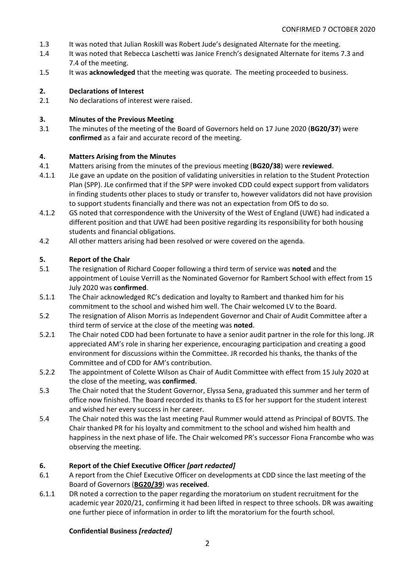- 1.3 It was noted that Julian Roskill was Robert Jude's designated Alternate for the meeting.
- 1.4 It was noted that Rebecca Laschetti was Janice French's designated Alternate for items 7.3 and 7.4 of the meeting.
- 1.5 It was **acknowledged** that the meeting was quorate. The meeting proceeded to business.

## **2. Declarations of Interest**

2.1 No declarations of interest were raised.

## **3. Minutes of the Previous Meeting**

3.1 The minutes of the meeting of the Board of Governors held on 17 June 2020 (**BG20/37**) were **confirmed** as a fair and accurate record of the meeting.

## **4. Matters Arising from the Minutes**

- 4.1 Matters arising from the minutes of the previous meeting (**BG20/38**) were **reviewed**.
- 4.1.1 JLe gave an update on the position of validating universities in relation to the Student Protection Plan (SPP). JLe confirmed that if the SPP were invoked CDD could expect support from validators in finding students other places to study or transfer to, however validators did not have provision to support students financially and there was not an expectation from OfS to do so.
- 4.1.2 GS noted that correspondence with the University of the West of England (UWE) had indicated a different position and that UWE had been positive regarding its responsibility for both housing students and financial obligations.
- 4.2 All other matters arising had been resolved or were covered on the agenda.

## **5. Report of the Chair**

- 5.1 The resignation of Richard Cooper following a third term of service was **noted** and the appointment of Louise Verrill as the Nominated Governor for Rambert School with effect from 15 July 2020 was **confirmed**.
- 5.1.1 The Chair acknowledged RC's dedication and loyalty to Rambert and thanked him for his commitment to the school and wished him well. The Chair welcomed LV to the Board.
- 5.2 The resignation of Alison Morris as Independent Governor and Chair of Audit Committee after a third term of service at the close of the meeting was **noted**.
- 5.2.1 The Chair noted CDD had been fortunate to have a senior audit partner in the role for this long. JR appreciated AM's role in sharing her experience, encouraging participation and creating a good environment for discussions within the Committee. JR recorded his thanks, the thanks of the Committee and of CDD for AM's contribution.
- 5.2.2 The appointment of Colette Wilson as Chair of Audit Committee with effect from 15 July 2020 at the close of the meeting, was **confirmed**.
- 5.3 The Chair noted that the Student Governor, Elyssa Sena, graduated this summer and her term of office now finished. The Board recorded its thanks to ES for her support for the student interest and wished her every success in her career.
- 5.4 The Chair noted this was the last meeting Paul Rummer would attend as Principal of BOVTS. The Chair thanked PR for his loyalty and commitment to the school and wished him health and happiness in the next phase of life. The Chair welcomed PR's successor Fiona Francombe who was observing the meeting.

# **6. Report of the Chief Executive Officer** *[part redacted]*

- 6.1 A report from the Chief Executive Officer on developments at CDD since the last meeting of the Board of Governors (**BG20/39**) was **received**.
- 6.1.1 DR noted a correction to the paper regarding the moratorium on student recruitment for the academic year 2020/21, confirming it had been lifted in respect to three schools. DR was awaiting one further piece of information in order to lift the moratorium for the fourth school.

#### **Confidential Business** *[redacted]*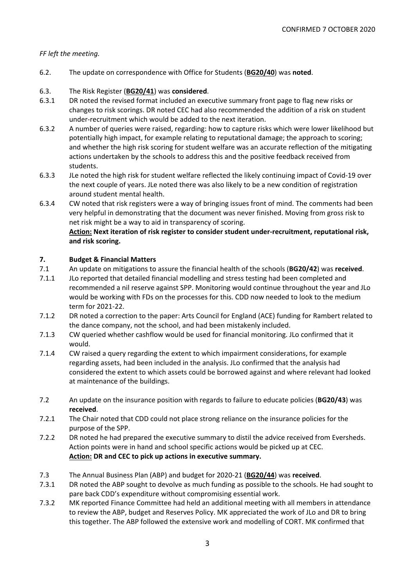# *FF left the meeting.*

- 6.2. The update on correspondence with Office for Students (**BG20/40**) was **noted**.
- 6.3. The Risk Register (**BG20/41**) was **considered**.
- 6.3.1 DR noted the revised format included an executive summary front page to flag new risks or changes to risk scorings. DR noted CEC had also recommended the addition of a risk on student under-recruitment which would be added to the next iteration.
- 6.3.2 A number of queries were raised, regarding: how to capture risks which were lower likelihood but potentially high impact, for example relating to reputational damage; the approach to scoring; and whether the high risk scoring for student welfare was an accurate reflection of the mitigating actions undertaken by the schools to address this and the positive feedback received from students.
- 6.3.3 JLe noted the high risk for student welfare reflected the likely continuing impact of Covid-19 over the next couple of years. JLe noted there was also likely to be a new condition of registration around student mental health.
- 6.3.4 CW noted that risk registers were a way of bringing issues front of mind. The comments had been very helpful in demonstrating that the document was never finished. Moving from gross risk to net risk might be a way to aid in transparency of scoring. **Action: Next iteration of risk register to consider student under-recruitment, reputational risk,**

# **and risk scoring.**

# **7. Budget & Financial Matters**

- 7.1 An update on mitigations to assure the financial health of the schools (**BG20/42**) was **received**.
- 7.1.1 JLo reported that detailed financial modelling and stress testing had been completed and recommended a nil reserve against SPP. Monitoring would continue throughout the year and JLo would be working with FDs on the processes for this. CDD now needed to look to the medium term for 2021-22.
- 7.1.2 DR noted a correction to the paper: Arts Council for England (ACE) funding for Rambert related to the dance company, not the school, and had been mistakenly included.
- 7.1.3 CW queried whether cashflow would be used for financial monitoring. JLo confirmed that it would.
- 7.1.4 CW raised a query regarding the extent to which impairment considerations, for example regarding assets, had been included in the analysis. JLo confirmed that the analysis had considered the extent to which assets could be borrowed against and where relevant had looked at maintenance of the buildings.
- 7.2 An update on the insurance position with regards to failure to educate policies (**BG20/43**) was **received**.
- 7.2.1 The Chair noted that CDD could not place strong reliance on the insurance policies for the purpose of the SPP.
- 7.2.2 DR noted he had prepared the executive summary to distil the advice received from Eversheds. Action points were in hand and school specific actions would be picked up at CEC. **Action: DR and CEC to pick up actions in executive summary.**
- 7.3 The Annual Business Plan (ABP) and budget for 2020-21 (**BG20/44**) was **received**.
- 7.3.1 DR noted the ABP sought to devolve as much funding as possible to the schools. He had sought to pare back CDD's expenditure without compromising essential work.
- 7.3.2 MK reported Finance Committee had held an additional meeting with all members in attendance to review the ABP, budget and Reserves Policy. MK appreciated the work of JLo and DR to bring this together. The ABP followed the extensive work and modelling of CORT. MK confirmed that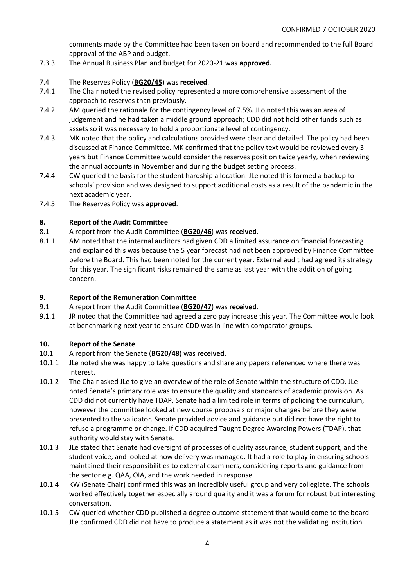comments made by the Committee had been taken on board and recommended to the full Board approval of the ABP and budget.

- 7.3.3 The Annual Business Plan and budget for 2020-21 was **approved.**
- 7.4 The Reserves Policy (**BG20/45**) was **received**.
- 7.4.1 The Chair noted the revised policy represented a more comprehensive assessment of the approach to reserves than previously.
- 7.4.2 AM queried the rationale for the contingency level of 7.5%. JLo noted this was an area of judgement and he had taken a middle ground approach; CDD did not hold other funds such as assets so it was necessary to hold a proportionate level of contingency.
- 7.4.3 MK noted that the policy and calculations provided were clear and detailed. The policy had been discussed at Finance Committee. MK confirmed that the policy text would be reviewed every 3 years but Finance Committee would consider the reserves position twice yearly, when reviewing the annual accounts in November and during the budget setting process.
- 7.4.4 CW queried the basis for the student hardship allocation. JLe noted this formed a backup to schools' provision and was designed to support additional costs as a result of the pandemic in the next academic year.
- 7.4.5 The Reserves Policy was **approved**.

# **8. Report of the Audit Committee**

- 8.1 A report from the Audit Committee (**BG20/46**) was **received**.
- 8.1.1 AM noted that the internal auditors had given CDD a limited assurance on financial forecasting and explained this was because the 5 year forecast had not been approved by Finance Committee before the Board. This had been noted for the current year. External audit had agreed its strategy for this year. The significant risks remained the same as last year with the addition of going concern.

# **9. Report of the Remuneration Committee**

- 9.1 A report from the Audit Committee (**BG20/47**) was **received**.
- 9.1.1 JR noted that the Committee had agreed a zero pay increase this year. The Committee would look at benchmarking next year to ensure CDD was in line with comparator groups.

# **10. Report of the Senate**

- 10.1 A report from the Senate (**BG20/48**) was **received**.
- 10.1.1 JLe noted she was happy to take questions and share any papers referenced where there was interest.
- 10.1.2 The Chair asked JLe to give an overview of the role of Senate within the structure of CDD. JLe noted Senate's primary role was to ensure the quality and standards of academic provision. As CDD did not currently have TDAP, Senate had a limited role in terms of policing the curriculum, however the committee looked at new course proposals or major changes before they were presented to the validator. Senate provided advice and guidance but did not have the right to refuse a programme or change. If CDD acquired Taught Degree Awarding Powers (TDAP), that authority would stay with Senate.
- 10.1.3 JLe stated that Senate had oversight of processes of quality assurance, student support, and the student voice, and looked at how delivery was managed. It had a role to play in ensuring schools maintained their responsibilities to external examiners, considering reports and guidance from the sector e.g. QAA, OIA, and the work needed in response.
- 10.1.4 KW (Senate Chair) confirmed this was an incredibly useful group and very collegiate. The schools worked effectively together especially around quality and it was a forum for robust but interesting conversation.
- 10.1.5 CW queried whether CDD published a degree outcome statement that would come to the board. JLe confirmed CDD did not have to produce a statement as it was not the validating institution.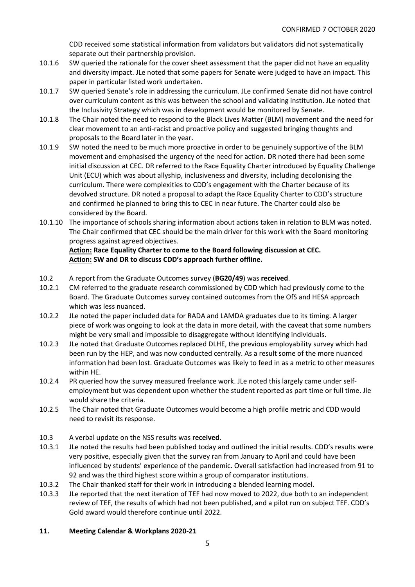CDD received some statistical information from validators but validators did not systematically separate out their partnership provision.

- 10.1.6 SW queried the rationale for the cover sheet assessment that the paper did not have an equality and diversity impact. JLe noted that some papers for Senate were judged to have an impact. This paper in particular listed work undertaken.
- 10.1.7 SW queried Senate's role in addressing the curriculum. JLe confirmed Senate did not have control over curriculum content as this was between the school and validating institution. JLe noted that the Inclusivity Strategy which was in development would be monitored by Senate.
- 10.1.8 The Chair noted the need to respond to the Black Lives Matter (BLM) movement and the need for clear movement to an anti-racist and proactive policy and suggested bringing thoughts and proposals to the Board later in the year.
- 10.1.9 SW noted the need to be much more proactive in order to be genuinely supportive of the BLM movement and emphasised the urgency of the need for action. DR noted there had been some initial discussion at CEC. DR referred to the Race Equality Charter introduced by Equality Challenge Unit (ECU) which was about allyship, inclusiveness and diversity, including decolonising the curriculum. There were complexities to CDD's engagement with the Charter because of its devolved structure. DR noted a proposal to adapt the Race Equality Charter to CDD's structure and confirmed he planned to bring this to CEC in near future. The Charter could also be considered by the Board.
- 10.1.10 The importance of schools sharing information about actions taken in relation to BLM was noted. The Chair confirmed that CEC should be the main driver for this work with the Board monitoring progress against agreed objectives.

# **Action: Race Equality Charter to come to the Board following discussion at CEC. Action: SW and DR to discuss CDD's approach further offline.**

- 10.2 A report from the Graduate Outcomes survey (**BG20/49**) was **received**.
- 10.2.1 CM referred to the graduate research commissioned by CDD which had previously come to the Board. The Graduate Outcomes survey contained outcomes from the OfS and HESA approach which was less nuanced.
- 10.2.2 JLe noted the paper included data for RADA and LAMDA graduates due to its timing. A larger piece of work was ongoing to look at the data in more detail, with the caveat that some numbers might be very small and impossible to disaggregate without identifying individuals.
- 10.2.3 JLe noted that Graduate Outcomes replaced DLHE, the previous employability survey which had been run by the HEP, and was now conducted centrally. As a result some of the more nuanced information had been lost. Graduate Outcomes was likely to feed in as a metric to other measures within HE.
- 10.2.4 PR queried how the survey measured freelance work. JLe noted this largely came under selfemployment but was dependent upon whether the student reported as part time or full time. Jle would share the criteria.
- 10.2.5 The Chair noted that Graduate Outcomes would become a high profile metric and CDD would need to revisit its response.
- 10.3 A verbal update on the NSS results was **received**.
- 10.3.1 JLe noted the results had been published today and outlined the initial results. CDD's results were very positive, especially given that the survey ran from January to April and could have been influenced by students' experience of the pandemic. Overall satisfaction had increased from 91 to 92 and was the third highest score within a group of comparator institutions.
- 10.3.2 The Chair thanked staff for their work in introducing a blended learning model.
- 10.3.3 JLe reported that the next iteration of TEF had now moved to 2022, due both to an independent review of TEF, the results of which had not been published, and a pilot run on subject TEF. CDD's Gold award would therefore continue until 2022.

# **11. Meeting Calendar & Workplans 2020-21**